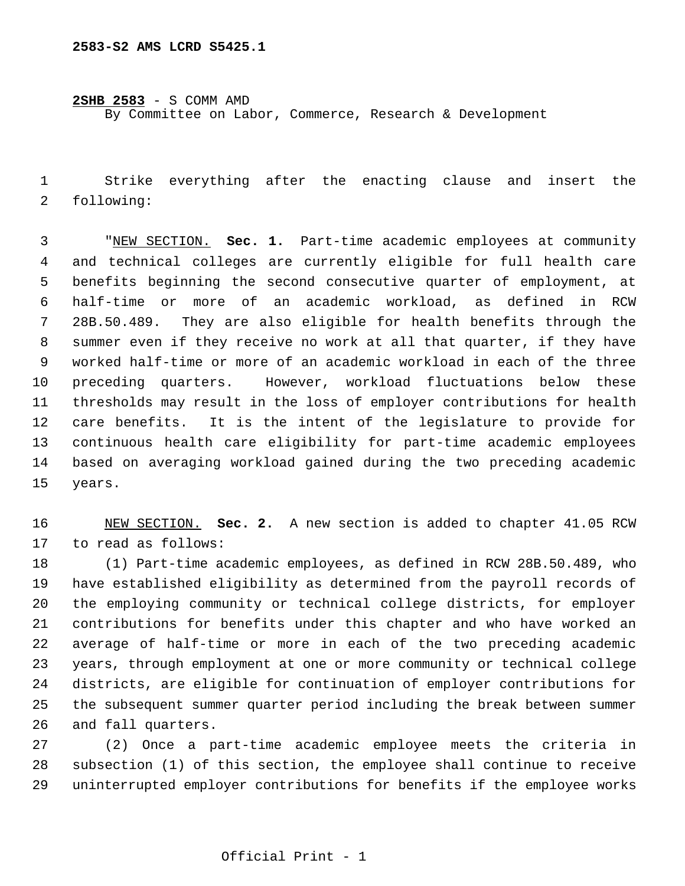**2SHB 2583** - S COMM AMD

By Committee on Labor, Commerce, Research & Development

 Strike everything after the enacting clause and insert the following:

 "NEW SECTION. **Sec. 1.** Part-time academic employees at community and technical colleges are currently eligible for full health care benefits beginning the second consecutive quarter of employment, at half-time or more of an academic workload, as defined in RCW 28B.50.489. They are also eligible for health benefits through the summer even if they receive no work at all that quarter, if they have worked half-time or more of an academic workload in each of the three preceding quarters. However, workload fluctuations below these thresholds may result in the loss of employer contributions for health care benefits. It is the intent of the legislature to provide for continuous health care eligibility for part-time academic employees based on averaging workload gained during the two preceding academic years.

 NEW SECTION. **Sec. 2.** A new section is added to chapter 41.05 RCW to read as follows:

 (1) Part-time academic employees, as defined in RCW 28B.50.489, who have established eligibility as determined from the payroll records of the employing community or technical college districts, for employer contributions for benefits under this chapter and who have worked an average of half-time or more in each of the two preceding academic years, through employment at one or more community or technical college districts, are eligible for continuation of employer contributions for the subsequent summer quarter period including the break between summer and fall quarters.

 (2) Once a part-time academic employee meets the criteria in subsection (1) of this section, the employee shall continue to receive uninterrupted employer contributions for benefits if the employee works

## Official Print - 1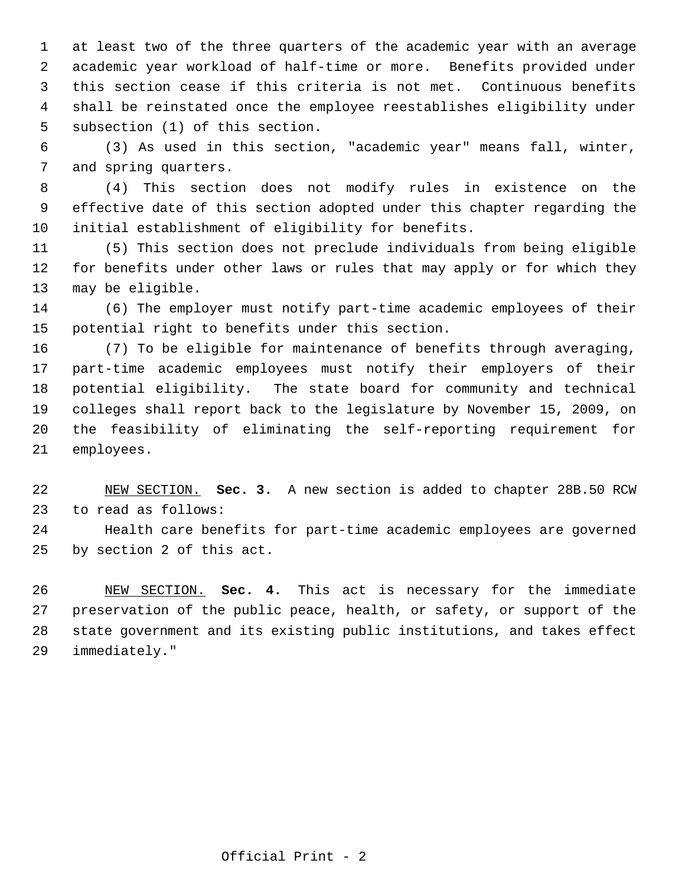at least two of the three quarters of the academic year with an average academic year workload of half-time or more. Benefits provided under this section cease if this criteria is not met. Continuous benefits shall be reinstated once the employee reestablishes eligibility under subsection (1) of this section.

 (3) As used in this section, "academic year" means fall, winter, and spring quarters.

 (4) This section does not modify rules in existence on the effective date of this section adopted under this chapter regarding the initial establishment of eligibility for benefits.

 (5) This section does not preclude individuals from being eligible for benefits under other laws or rules that may apply or for which they may be eligible.

 (6) The employer must notify part-time academic employees of their potential right to benefits under this section.

 (7) To be eligible for maintenance of benefits through averaging, part-time academic employees must notify their employers of their potential eligibility. The state board for community and technical colleges shall report back to the legislature by November 15, 2009, on the feasibility of eliminating the self-reporting requirement for employees.

 NEW SECTION. **Sec. 3.** A new section is added to chapter 28B.50 RCW to read as follows:

 Health care benefits for part-time academic employees are governed by section 2 of this act.

 NEW SECTION. **Sec. 4.** This act is necessary for the immediate preservation of the public peace, health, or safety, or support of the state government and its existing public institutions, and takes effect immediately."